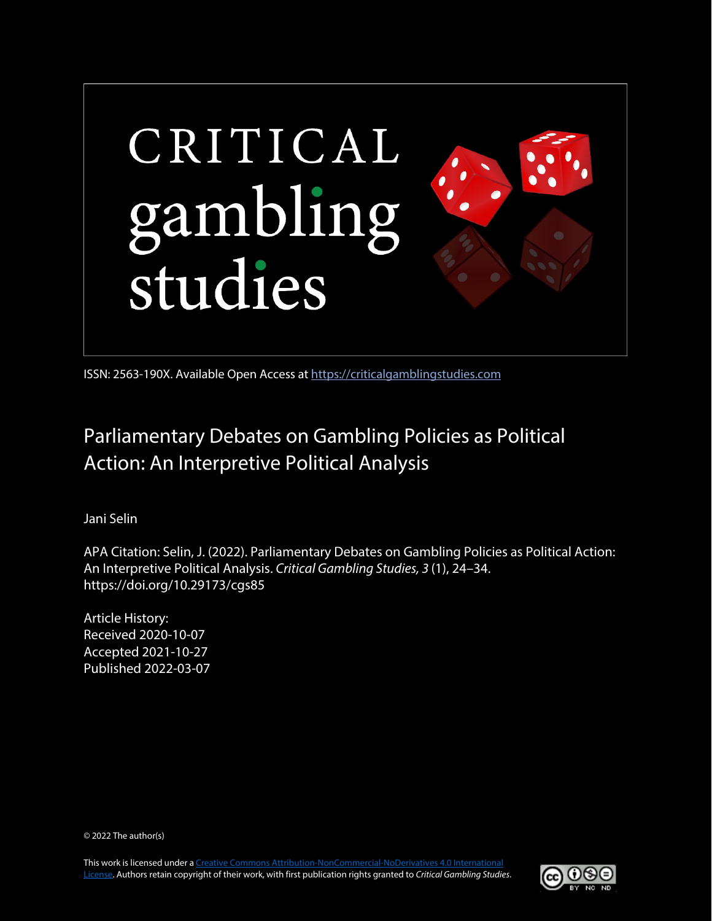

ISSN: 2563-190X. Available Open Access at [https://criticalgamblingstudies.com](https://criticalgamblingstudies.com/)

# Parliamentary Debates on Gambling Policies as Political Action: An Interpretive Political Analysis

Jani Selin

APA Citation: Selin, J. (2022). Parliamentary Debates on Gambling Policies as Political Action: An Interpretive Political Analysis. *Critical Gambling Studies, 3* (1), 24–34. https://doi.org/10.29173/cgs85

Article History: Received 2020-10-07 Accepted 2021-10-27 Published 2022-03-07

© 2022 The author(s)

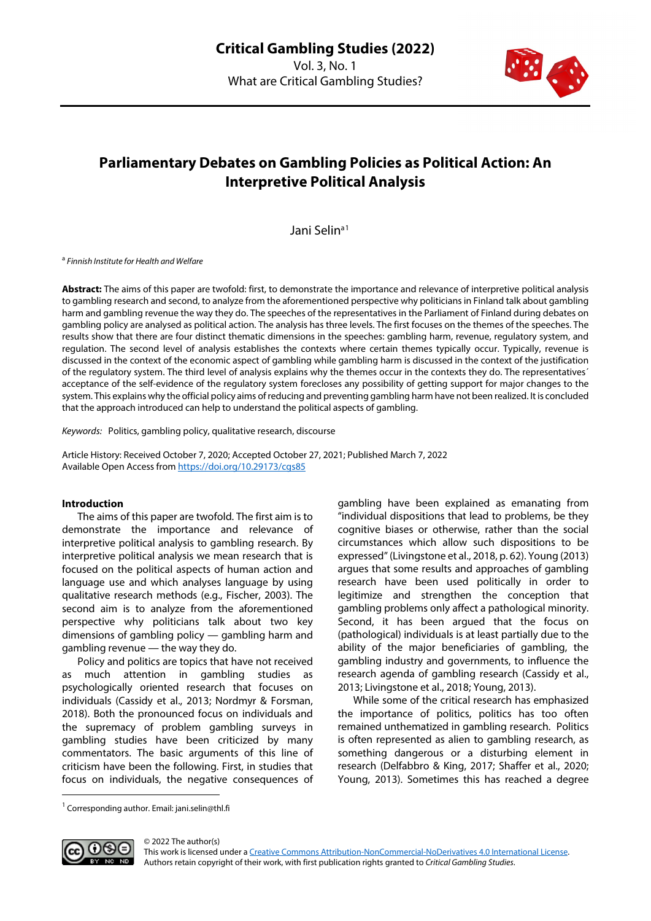

## **Parliamentary Debates on Gambling Policies as Political Action: An Interpretive Political Analysis**

Jani Selin<sup>a[1](#page-1-0)</sup>

<sup>a</sup> *Finnish Institute for Health and Welfare*

**Abstract:** The aims of this paper are twofold: first, to demonstrate the importance and relevance of interpretive political analysis to gambling research and second, to analyze from the aforementioned perspective why politicians in Finland talk about gambling harm and gambling revenue the way they do. The speeches of the representatives in the Parliament of Finland during debates on gambling policy are analysed as political action. The analysis has three levels. The first focuses on the themes of the speeches. The results show that there are four distinct thematic dimensions in the speeches: gambling harm, revenue, regulatory system, and regulation. The second level of analysis establishes the contexts where certain themes typically occur. Typically, revenue is discussed in the context of the economic aspect of gambling while gambling harm is discussed in the context of the justification of the regulatory system. The third level of analysis explains why the themes occur in the contexts they do. The representatives´ acceptance of the self-evidence of the regulatory system forecloses any possibility of getting support for major changes to the system. This explains why the official policy aims of reducing and preventing gambling harm have not been realized. It is concluded that the approach introduced can help to understand the political aspects of gambling.

*Keywords:* Politics, gambling policy, qualitative research, discourse

Article History: Received October 7, 2020; Accepted October 27, 2021; Published March 7, 2022 Available Open Access from<https://doi.org/10.29173/cgs85>

#### **Introduction**

The aims of this paper are twofold. The first aim is to demonstrate the importance and relevance of interpretive political analysis to gambling research. By interpretive political analysis we mean research that is focused on the political aspects of human action and language use and which analyses language by using qualitative research methods (e.g., Fischer, 2003). The second aim is to analyze from the aforementioned perspective why politicians talk about two key dimensions of gambling policy — gambling harm and gambling revenue — the way they do.

Policy and politics are topics that have not received as much attention in gambling studies as psychologically oriented research that focuses on individuals (Cassidy et al., 2013; Nordmyr & Forsman, 2018). Both the pronounced focus on individuals and the supremacy of problem gambling surveys in gambling studies have been criticized by many commentators. The basic arguments of this line of criticism have been the following. First, in studies that focus on individuals, the negative consequences of gambling have been explained as emanating from "individual dispositions that lead to problems, be they cognitive biases or otherwise, rather than the social circumstances which allow such dispositions to be expressed" (Livingstone et al., 2018, p. 62). Young (2013) argues that some results and approaches of gambling research have been used politically in order to legitimize and strengthen the conception that gambling problems only affect a pathological minority. Second, it has been argued that the focus on (pathological) individuals is at least partially due to the ability of the major beneficiaries of gambling, the gambling industry and governments, to influence the research agenda of gambling research (Cassidy et al., 2013; Livingstone et al., 2018; Young, 2013).

While some of the critical research has emphasized the importance of politics, politics has too often remained unthematized in gambling research. Politics is often represented as alien to gambling research, as something dangerous or a disturbing element in research (Delfabbro & King, 2017; Shaffer et al., 2020; Young, 2013). Sometimes this has reached a degree

<span id="page-1-0"></span><sup>&</sup>lt;sup>1</sup> Corresponding author. Email: jani.selin@thl.fi

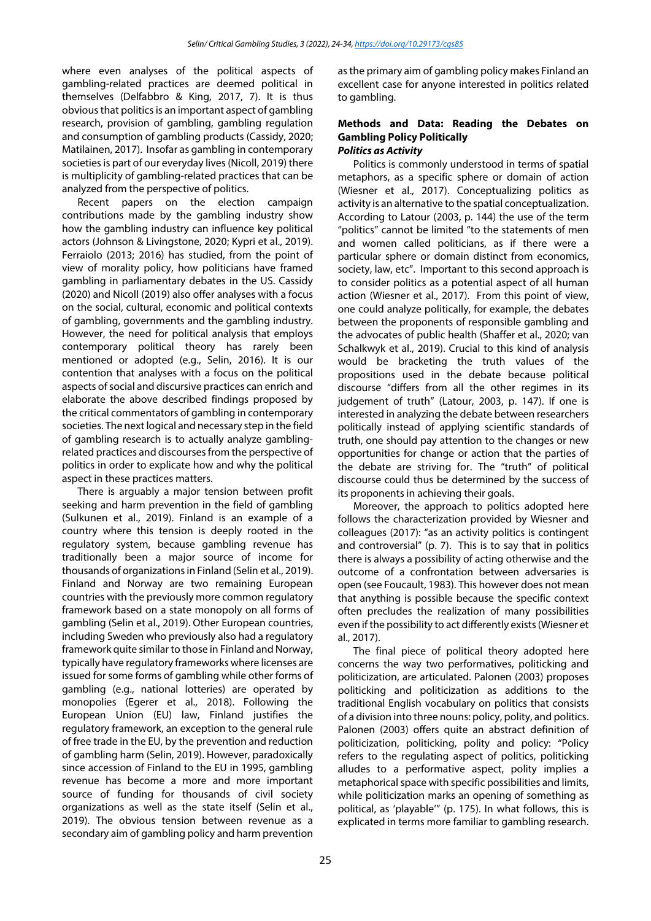where even analyses of the political aspects of gambling-related practices are deemed political in themselves (Delfabbro & King, 2017, 7). It is thus obvious that politics is an important aspect of gambling research, provision of gambling, gambling regulation and consumption of gambling products (Cassidy, 2020; Matilainen, 2017). Insofar as gambling in contemporary societies is part of our everyday lives (Nicoll, 2019) there is multiplicity of gambling-related practices that can be analyzed from the perspective of politics.

Recent papers on the election campaign contributions made by the gambling industry show how the gambling industry can influence key political actors (Johnson & Livingstone, 2020; Kypri et al., 2019). Ferraiolo (2013; 2016) has studied, from the point of view of morality policy, how politicians have framed gambling in parliamentary debates in the US. Cassidy (2020) and Nicoll (2019) also offer analyses with a focus on the social, cultural, economic and political contexts of gambling, governments and the gambling industry. However, the need for political analysis that employs contemporary political theory has rarely been mentioned or adopted (e.g., Selin, 2016). It is our contention that analyses with a focus on the political aspects of social and discursive practices can enrich and elaborate the above described findings proposed by the critical commentators of gambling in contemporary societies. The next logical and necessary step in the field of gambling research is to actually analyze gamblingrelated practices and discourses from the perspective of politics in order to explicate how and why the political aspect in these practices matters.

There is arguably a major tension between profit seeking and harm prevention in the field of gambling (Sulkunen et al., 2019). Finland is an example of a country where this tension is deeply rooted in the regulatory system, because gambling revenue has traditionally been a major source of income for thousands of organizations in Finland (Selin et al., 2019). Finland and Norway are two remaining European countries with the previously more common regulatory framework based on a state monopoly on all forms of gambling (Selin et al., 2019). Other European countries, including Sweden who previously also had a regulatory framework quite similar to those in Finland and Norway, typically have regulatory frameworks where licenses are issued for some forms of gambling while other forms of gambling (e.g., national lotteries) are operated by monopolies (Egerer et al., 2018). Following the European Union (EU) law, Finland justifies the regulatory framework, an exception to the general rule of free trade in the EU, by the prevention and reduction of gambling harm (Selin, 2019). However, paradoxically since accession of Finland to the EU in 1995, gambling revenue has become a more and more important source of funding for thousands of civil society organizations as well as the state itself (Selin et al., 2019). The obvious tension between revenue as a secondary aim of gambling policy and harm prevention

as the primary aim of gambling policy makes Finland an excellent case for anyone interested in politics related to gambling.

#### **Methods and Data: Reading the Debates on Gambling Policy Politically** *Politics as Activity*

Politics is commonly understood in terms of spatial metaphors, as a specific sphere or domain of action (Wiesner et al., 2017). Conceptualizing politics as activity is an alternative to the spatial conceptualization. According to Latour (2003, p. 144) the use of the term "politics" cannot be limited "to the statements of men and women called politicians, as if there were a particular sphere or domain distinct from economics, society, law, etc". Important to this second approach is to consider politics as a potential aspect of all human action (Wiesner et al., 2017). From this point of view, one could analyze politically, for example, the debates between the proponents of responsible gambling and the advocates of public health (Shaffer et al., 2020; van Schalkwyk et al., 2019). Crucial to this kind of analysis would be bracketing the truth values of the propositions used in the debate because political discourse "differs from all the other regimes in its judgement of truth" (Latour, 2003, p. 147). If one is interested in analyzing the debate between researchers politically instead of applying scientific standards of truth, one should pay attention to the changes or new opportunities for change or action that the parties of the debate are striving for. The "truth" of political discourse could thus be determined by the success of its proponents in achieving their goals.

Moreover, the approach to politics adopted here follows the characterization provided by Wiesner and colleagues (2017): "as an activity politics is contingent and controversial" (p. 7). This is to say that in politics there is always a possibility of acting otherwise and the outcome of a confrontation between adversaries is open (see Foucault, 1983). This however does not mean that anything is possible because the specific context often precludes the realization of many possibilities even if the possibility to act differently exists (Wiesner et al., 2017).

The final piece of political theory adopted here concerns the way two performatives, politicking and politicization, are articulated. Palonen (2003) proposes politicking and politicization as additions to the traditional English vocabulary on politics that consists of a division into three nouns: policy, polity, and politics. Palonen (2003) offers quite an abstract definition of politicization, politicking, polity and policy: "Policy refers to the regulating aspect of politics, politicking alludes to a performative aspect, polity implies a metaphorical space with specific possibilities and limits, while politicization marks an opening of something as political, as 'playable'" (p. 175). In what follows, this is explicated in terms more familiar to gambling research.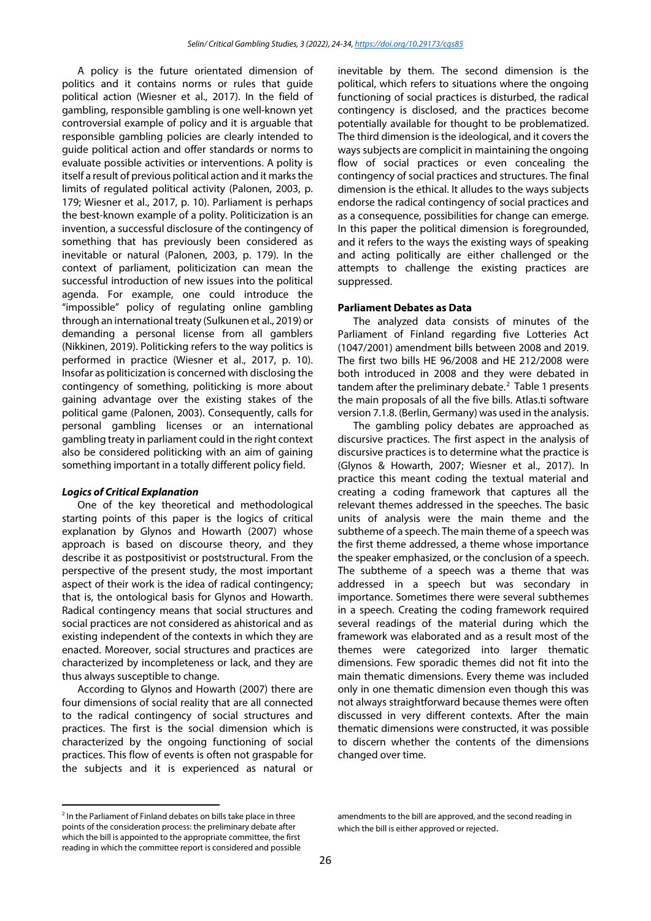A policy is the future orientated dimension of politics and it contains norms or rules that guide political action (Wiesner et al., 2017). In the field of gambling, responsible gambling is one well-known yet controversial example of policy and it is arguable that responsible gambling policies are clearly intended to guide political action and offer standards or norms to evaluate possible activities or interventions. A polity is itself a result of previous political action and it marks the limits of regulated political activity (Palonen, 2003, p. 179; Wiesner et al., 2017, p. 10). Parliament is perhaps the best-known example of a polity. Politicization is an invention, a successful disclosure of the contingency of something that has previously been considered as inevitable or natural (Palonen, 2003, p. 179). In the context of parliament, politicization can mean the successful introduction of new issues into the political agenda. For example, one could introduce the "impossible" policy of regulating online gambling through an international treaty (Sulkunen et al., 2019) or demanding a personal license from all gamblers (Nikkinen, 2019). Politicking refers to the way politics is performed in practice (Wiesner et al., 2017, p. 10). Insofar as politicization is concerned with disclosing the contingency of something, politicking is more about gaining advantage over the existing stakes of the political game (Palonen, 2003). Consequently, calls for personal gambling licenses or an international gambling treaty in parliament could in the right context also be considered politicking with an aim of gaining something important in a totally different policy field.

#### *Logics of Critical Explanation*

One of the key theoretical and methodological starting points of this paper is the logics of critical explanation by Glynos and Howarth (2007) whose approach is based on discourse theory, and they describe it as postpositivist or poststructural. From the perspective of the present study, the most important aspect of their work is the idea of radical contingency; that is, the ontological basis for Glynos and Howarth. Radical contingency means that social structures and social practices are not considered as ahistorical and as existing independent of the contexts in which they are enacted. Moreover, social structures and practices are characterized by incompleteness or lack, and they are thus always susceptible to change.

According to Glynos and Howarth (2007) there are four dimensions of social reality that are all connected to the radical contingency of social structures and practices. The first is the social dimension which is characterized by the ongoing functioning of social practices. This flow of events is often not graspable for the subjects and it is experienced as natural or

inevitable by them. The second dimension is the political, which refers to situations where the ongoing functioning of social practices is disturbed, the radical contingency is disclosed, and the practices become potentially available for thought to be problematized. The third dimension is the ideological, and it covers the ways subjects are complicit in maintaining the ongoing flow of social practices or even concealing the contingency of social practices and structures. The final dimension is the ethical. It alludes to the ways subjects endorse the radical contingency of social practices and as a consequence, possibilities for change can emerge. In this paper the political dimension is foregrounded, and it refers to the ways the existing ways of speaking and acting politically are either challenged or the attempts to challenge the existing practices are suppressed.

#### **Parliament Debates as Data**

The analyzed data consists of minutes of the Parliament of Finland regarding five Lotteries Act (1047/2001) amendment bills between 2008 and 2019. The first two bills HE 96/2008 and HE 212/2008 were both introduced in 2008 and they were debated in tandem after the preliminary debate.<sup>[2](#page-3-0)</sup> Table 1 presents the main proposals of all the five bills. Atlas.ti software version 7.1.8. (Berlin, Germany) was used in the analysis.

The gambling policy debates are approached as discursive practices. The first aspect in the analysis of discursive practices is to determine what the practice is (Glynos & Howarth, 2007; Wiesner et al., 2017). In practice this meant coding the textual material and creating a coding framework that captures all the relevant themes addressed in the speeches. The basic units of analysis were the main theme and the subtheme of a speech. The main theme of a speech was the first theme addressed, a theme whose importance the speaker emphasized, or the conclusion of a speech. The subtheme of a speech was a theme that was addressed in a speech but was secondary in importance. Sometimes there were several subthemes in a speech. Creating the coding framework required several readings of the material during which the framework was elaborated and as a result most of the themes were categorized into larger thematic dimensions. Few sporadic themes did not fit into the main thematic dimensions. Every theme was included only in one thematic dimension even though this was not always straightforward because themes were often discussed in very different contexts. After the main thematic dimensions were constructed, it was possible to discern whether the contents of the dimensions changed over time.

<span id="page-3-0"></span><sup>&</sup>lt;sup>2</sup> In the Parliament of Finland debates on bills take place in three points of the consideration process: the preliminary debate after which the bill is appointed to the appropriate committee, the first reading in which the committee report is considered and possible

amendments to the bill are approved, and the second reading in which the bill is either approved or rejected.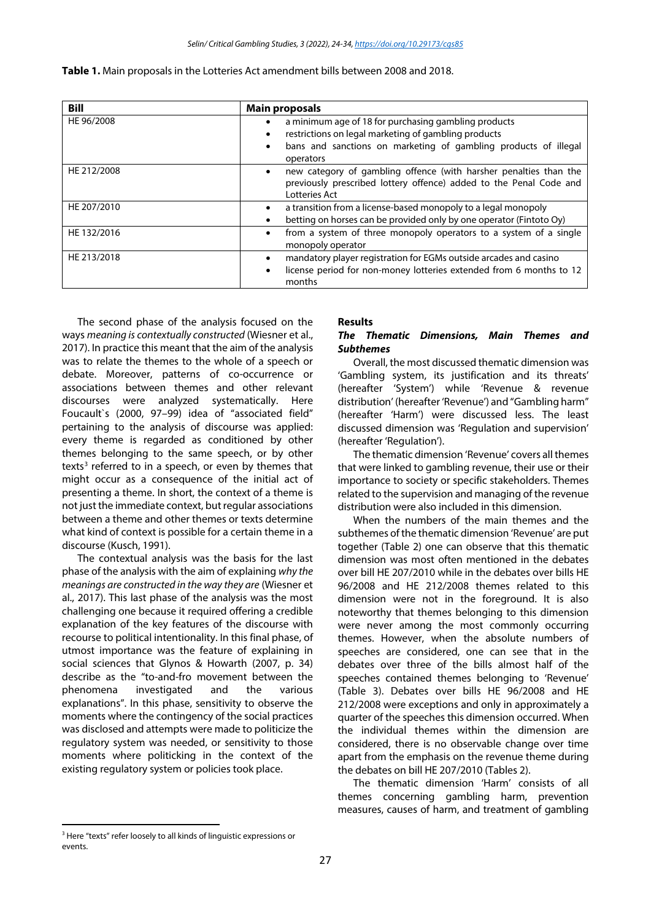| <b>Bill</b> | <b>Main proposals</b>                                                                                                                                                                                                  |  |  |  |  |
|-------------|------------------------------------------------------------------------------------------------------------------------------------------------------------------------------------------------------------------------|--|--|--|--|
| HE 96/2008  | a minimum age of 18 for purchasing gambling products<br>$\bullet$<br>restrictions on legal marketing of gambling products<br>$\bullet$<br>bans and sanctions on marketing of gambling products of illegal<br>operators |  |  |  |  |
| HE 212/2008 | new category of gambling offence (with harsher penalties than the<br>$\bullet$<br>previously prescribed lottery offence) added to the Penal Code and<br>Lotteries Act                                                  |  |  |  |  |
| HE 207/2010 | a transition from a license-based monopoly to a legal monopoly<br>$\bullet$<br>betting on horses can be provided only by one operator (Fintoto Oy)<br>$\bullet$                                                        |  |  |  |  |
| HE 132/2016 | from a system of three monopoly operators to a system of a single<br>$\bullet$<br>monopoly operator                                                                                                                    |  |  |  |  |
| HE 213/2018 | mandatory player registration for EGMs outside arcades and casino<br>٠<br>license period for non-money lotteries extended from 6 months to 12<br>$\bullet$<br>months                                                   |  |  |  |  |

The second phase of the analysis focused on the ways *meaning is contextually constructed* (Wiesner et al., 2017). In practice this meant that the aim of the analysis was to relate the themes to the whole of a speech or debate. Moreover, patterns of co-occurrence or associations between themes and other relevant discourses were analyzed systematically. Here Foucault`s (2000, 97–99) idea of "associated field" pertaining to the analysis of discourse was applied: every theme is regarded as conditioned by other themes belonging to the same speech, or by other texts<sup>[3](#page-4-0)</sup> referred to in a speech, or even by themes that might occur as a consequence of the initial act of presenting a theme. In short, the context of a theme is not just the immediate context, but regular associations between a theme and other themes or texts determine what kind of context is possible for a certain theme in a discourse (Kusch, 1991).

The contextual analysis was the basis for the last phase of the analysis with the aim of explaining *why the meanings are constructed in the way they are* (Wiesner et al., 2017). This last phase of the analysis was the most challenging one because it required offering a credible explanation of the key features of the discourse with recourse to political intentionality. In this final phase, of utmost importance was the feature of explaining in social sciences that Glynos & Howarth (2007, p. 34) describe as the "to-and-fro movement between the phenomena investigated and the various explanations". In this phase, sensitivity to observe the moments where the contingency of the social practices was disclosed and attempts were made to politicize the regulatory system was needed, or sensitivity to those moments where politicking in the context of the existing regulatory system or policies took place.

#### **Results**

#### *The Thematic Dimensions, Main Themes and Subthemes*

Overall, the most discussed thematic dimension was 'Gambling system, its justification and its threats' (hereafter 'System') while 'Revenue & revenue distribution' (hereafter 'Revenue') and "Gambling harm" (hereafter 'Harm') were discussed less. The least discussed dimension was 'Regulation and supervision' (hereafter 'Regulation').

The thematic dimension 'Revenue' covers all themes that were linked to gambling revenue, their use or their importance to society or specific stakeholders. Themes related to the supervision and managing of the revenue distribution were also included in this dimension.

When the numbers of the main themes and the subthemes of the thematic dimension 'Revenue' are put together (Table 2) one can observe that this thematic dimension was most often mentioned in the debates over bill HE 207/2010 while in the debates over bills HE 96/2008 and HE 212/2008 themes related to this dimension were not in the foreground. It is also noteworthy that themes belonging to this dimension were never among the most commonly occurring themes. However, when the absolute numbers of speeches are considered, one can see that in the debates over three of the bills almost half of the speeches contained themes belonging to 'Revenue' (Table 3). Debates over bills HE 96/2008 and HE 212/2008 were exceptions and only in approximately a quarter of the speeches this dimension occurred. When the individual themes within the dimension are considered, there is no observable change over time apart from the emphasis on the revenue theme during the debates on bill HE 207/2010 (Tables 2).

The thematic dimension 'Harm' consists of all themes concerning gambling harm, prevention measures, causes of harm, and treatment of gambling

<span id="page-4-0"></span><sup>&</sup>lt;sup>3</sup> Here "texts" refer loosely to all kinds of linguistic expressions or events.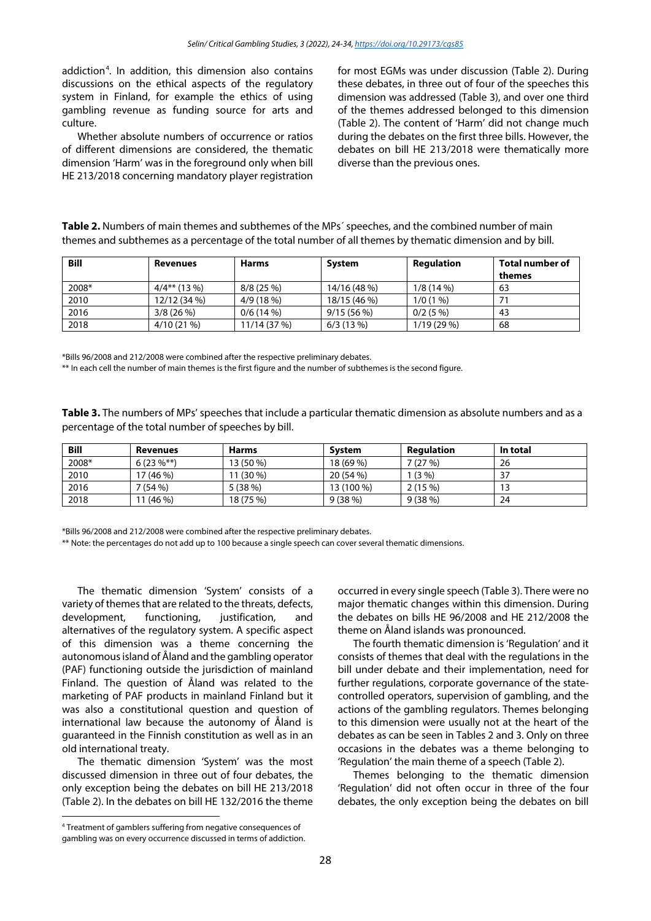addiction[4](#page-5-0) . In addition, this dimension also contains discussions on the ethical aspects of the regulatory system in Finland, for example the ethics of using gambling revenue as funding source for arts and culture.

Whether absolute numbers of occurrence or ratios of different dimensions are considered, the thematic dimension 'Harm' was in the foreground only when bill HE 213/2018 concerning mandatory player registration for most EGMs was under discussion (Table 2). During these debates, in three out of four of the speeches this dimension was addressed (Table 3), and over one third of the themes addressed belonged to this dimension (Table 2). The content of 'Harm' did not change much during the debates on the first three bills. However, the debates on bill HE 213/2018 were thematically more diverse than the previous ones.

| themes and subthemes as a percentage of the total number of all themes by thematic dimension and by bill. |                 |              |              |                   |                           |  |  |
|-----------------------------------------------------------------------------------------------------------|-----------------|--------------|--------------|-------------------|---------------------------|--|--|
| <b>Bill</b>                                                                                               | <b>Revenues</b> | <b>Harms</b> | System       | <b>Regulation</b> | Total number of<br>themes |  |  |
| 2008*                                                                                                     | $4/4**$ (13 %)  | 8/8(25%)     | 14/16 (48 %) | $1/8(14\%)$       | 63                        |  |  |
| 2010                                                                                                      | 12/12 (34 %)    | 4/9(18%)     | 18/15 (46 %) | 1/0(1%            | 71                        |  |  |
| 2016                                                                                                      | 3/8(26%)        | $0/6(14\%)$  | 9/15(56%)    | $0/2(5\%)$        | 43                        |  |  |
| 2018                                                                                                      | $4/10(21\%)$    | 11/14 (37 %) | 6/3(13%)     | $1/19(29\%)$      | 68                        |  |  |

**Table 2.** Numbers of main themes and subthemes of the MPs´ speeches, and the combined number of main

\*Bills 96/2008 and 212/2008 were combined after the respective preliminary debates.

\*\* In each cell the number of main themes is the first figure and the number of subthemes is the second figure.

**Table 3.** The numbers of MPs' speeches that include a particular thematic dimension as absolute numbers and as a percentage of the total number of speeches by bill.

| <b>Bill</b> | Revenues       | <b>Harms</b> | System     | Reaulation | In total |
|-------------|----------------|--------------|------------|------------|----------|
| 2008*       | $6(23\%^{**})$ | 13 (50 %)    | 18 (69 %)  | 7 (27 %)   | 26       |
| 2010        | (46 %)         | 11 (30 %)    | 20 (54 %)  | $(3\% )$   | 37       |
| 2016        | 7 (54 %)       | 5(38%)       | 13 (100 %) | 2(15%)     | ر ا      |
| 2018        | $(46\%)$       | 18 (75 %)    | 9(38%)     | 9 (38 %)   | 24       |

\*Bills 96/2008 and 212/2008 were combined after the respective preliminary debates.

\*\* Note: the percentages do not add up to 100 because a single speech can cover several thematic dimensions.

The thematic dimension 'System' consists of a variety of themes that are related to the threats, defects, development, functioning, justification, and alternatives of the regulatory system. A specific aspect of this dimension was a theme concerning the autonomous island of Åland and the gambling operator (PAF) functioning outside the jurisdiction of mainland Finland. The question of Åland was related to the marketing of PAF products in mainland Finland but it was also a constitutional question and question of international law because the autonomy of Åland is guaranteed in the Finnish constitution as well as in an old international treaty.

The thematic dimension 'System' was the most discussed dimension in three out of four debates, the only exception being the debates on bill HE 213/2018 (Table 2). In the debates on bill HE 132/2016 the theme occurred in every single speech (Table 3). There were no major thematic changes within this dimension. During the debates on bills HE 96/2008 and HE 212/2008 the theme on Åland islands was pronounced.

The fourth thematic dimension is 'Regulation' and it consists of themes that deal with the regulations in the bill under debate and their implementation, need for further regulations, corporate governance of the statecontrolled operators, supervision of gambling, and the actions of the gambling regulators. Themes belonging to this dimension were usually not at the heart of the debates as can be seen in Tables 2 and 3. Only on three occasions in the debates was a theme belonging to 'Regulation' the main theme of a speech (Table 2).

Themes belonging to the thematic dimension 'Regulation' did not often occur in three of the four debates, the only exception being the debates on bill

<span id="page-5-0"></span><sup>4</sup> Treatment of gamblers suffering from negative consequences of gambling was on every occurrence discussed in terms of addiction.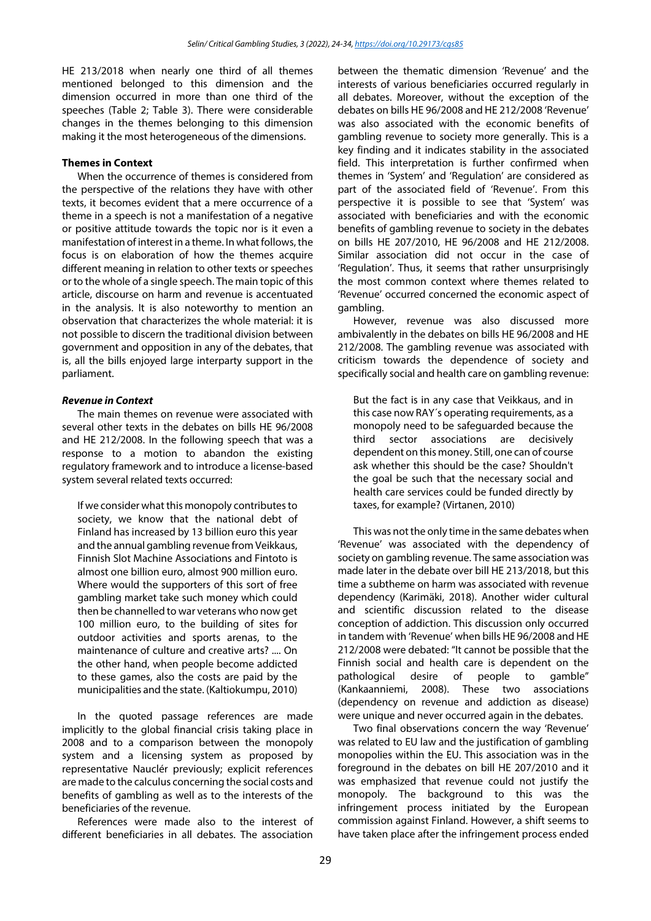HE 213/2018 when nearly one third of all themes mentioned belonged to this dimension and the dimension occurred in more than one third of the speeches (Table 2; Table 3). There were considerable changes in the themes belonging to this dimension making it the most heterogeneous of the dimensions.

#### **Themes in Context**

When the occurrence of themes is considered from the perspective of the relations they have with other texts, it becomes evident that a mere occurrence of a theme in a speech is not a manifestation of a negative or positive attitude towards the topic nor is it even a manifestation of interest in a theme. In what follows, the focus is on elaboration of how the themes acquire different meaning in relation to other texts or speeches or to the whole of a single speech. The main topic of this article, discourse on harm and revenue is accentuated in the analysis. It is also noteworthy to mention an observation that characterizes the whole material: it is not possible to discern the traditional division between government and opposition in any of the debates, that is, all the bills enjoyed large interparty support in the parliament.

#### *Revenue in Context*

The main themes on revenue were associated with several other texts in the debates on bills HE 96/2008 and HE 212/2008. In the following speech that was a response to a motion to abandon the existing regulatory framework and to introduce a license-based system several related texts occurred:

If we consider what this monopoly contributes to society, we know that the national debt of Finland has increased by 13 billion euro this year and the annual gambling revenue from Veikkaus, Finnish Slot Machine Associations and Fintoto is almost one billion euro, almost 900 million euro. Where would the supporters of this sort of free gambling market take such money which could then be channelled to war veterans who now get 100 million euro, to the building of sites for outdoor activities and sports arenas, to the maintenance of culture and creative arts? .... On the other hand, when people become addicted to these games, also the costs are paid by the municipalities and the state. (Kaltiokumpu, 2010)

In the quoted passage references are made implicitly to the global financial crisis taking place in 2008 and to a comparison between the monopoly system and a licensing system as proposed by representative Nauclér previously; explicit references are made to the calculus concerning the social costs and benefits of gambling as well as to the interests of the beneficiaries of the revenue.

References were made also to the interest of different beneficiaries in all debates. The association

between the thematic dimension 'Revenue' and the interests of various beneficiaries occurred regularly in all debates. Moreover, without the exception of the debates on bills HE 96/2008 and HE 212/2008 'Revenue' was also associated with the economic benefits of gambling revenue to society more generally. This is a key finding and it indicates stability in the associated field. This interpretation is further confirmed when themes in 'System' and 'Regulation' are considered as part of the associated field of 'Revenue'. From this perspective it is possible to see that 'System' was associated with beneficiaries and with the economic benefits of gambling revenue to society in the debates on bills HE 207/2010, HE 96/2008 and HE 212/2008. Similar association did not occur in the case of 'Regulation'. Thus, it seems that rather unsurprisingly the most common context where themes related to 'Revenue' occurred concerned the economic aspect of gambling.

However, revenue was also discussed more ambivalently in the debates on bills HE 96/2008 and HE 212/2008. The gambling revenue was associated with criticism towards the dependence of society and specifically social and health care on gambling revenue:

But the fact is in any case that Veikkaus, and in this case now RAY´s operating requirements, as a monopoly need to be safeguarded because the third sector associations are decisively dependent on this money. Still, one can of course ask whether this should be the case? Shouldn't the goal be such that the necessary social and health care services could be funded directly by taxes, for example? (Virtanen, 2010)

This was not the only time in the same debates when 'Revenue' was associated with the dependency of society on gambling revenue. The same association was made later in the debate over bill HE 213/2018, but this time a subtheme on harm was associated with revenue dependency (Karimäki, 2018). Another wider cultural and scientific discussion related to the disease conception of addiction. This discussion only occurred in tandem with 'Revenue' when bills HE 96/2008 and HE 212/2008 were debated: "It cannot be possible that the Finnish social and health care is dependent on the pathological desire of people to gamble" (Kankaanniemi, 2008). These two associations (dependency on revenue and addiction as disease) were unique and never occurred again in the debates.

Two final observations concern the way 'Revenue' was related to EU law and the justification of gambling monopolies within the EU. This association was in the foreground in the debates on bill HE 207/2010 and it was emphasized that revenue could not justify the monopoly. The background to this was the infringement process initiated by the European commission against Finland. However, a shift seems to have taken place after the infringement process ended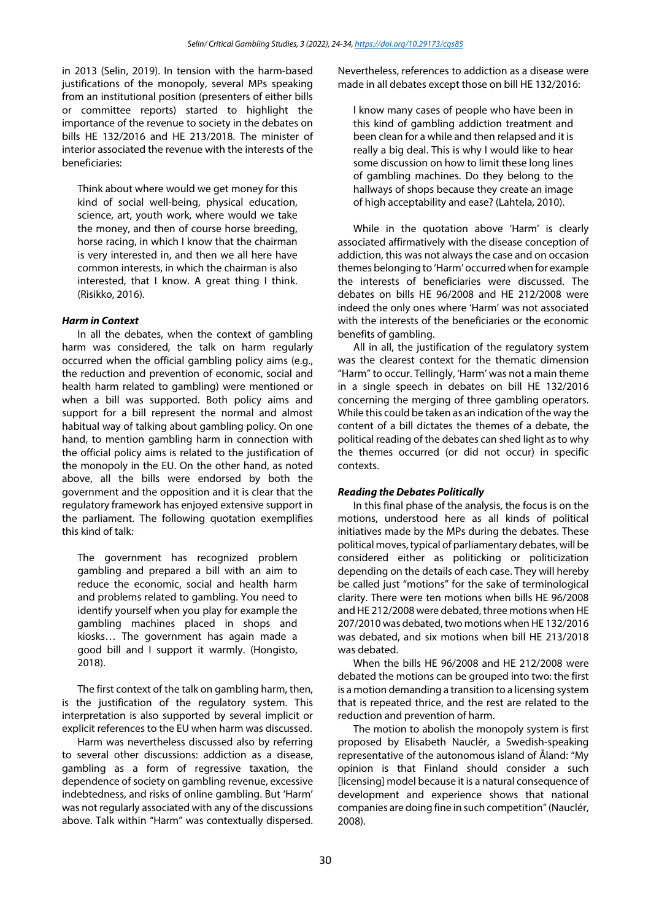in 2013 (Selin, 2019). In tension with the harm-based justifications of the monopoly, several MPs speaking from an institutional position (presenters of either bills or committee reports) started to highlight the importance of the revenue to society in the debates on bills HE 132/2016 and HE 213/2018. The minister of interior associated the revenue with the interests of the beneficiaries:

Think about where would we get money for this kind of social well-being, physical education, science, art, youth work, where would we take the money, and then of course horse breeding, horse racing, in which I know that the chairman is very interested in, and then we all here have common interests, in which the chairman is also interested, that I know. A great thing I think. (Risikko, 2016).

#### *Harm in Context*

In all the debates, when the context of gambling harm was considered, the talk on harm regularly occurred when the official gambling policy aims (e.g., the reduction and prevention of economic, social and health harm related to gambling) were mentioned or when a bill was supported. Both policy aims and support for a bill represent the normal and almost habitual way of talking about gambling policy. On one hand, to mention gambling harm in connection with the official policy aims is related to the justification of the monopoly in the EU. On the other hand, as noted above, all the bills were endorsed by both the government and the opposition and it is clear that the regulatory framework has enjoyed extensive support in the parliament. The following quotation exemplifies this kind of talk:

The government has recognized problem gambling and prepared a bill with an aim to reduce the economic, social and health harm and problems related to gambling. You need to identify yourself when you play for example the gambling machines placed in shops and kiosks… The government has again made a good bill and I support it warmly. (Hongisto, 2018).

The first context of the talk on gambling harm, then, is the justification of the regulatory system. This interpretation is also supported by several implicit or explicit references to the EU when harm was discussed.

Harm was nevertheless discussed also by referring to several other discussions: addiction as a disease, gambling as a form of regressive taxation, the dependence of society on gambling revenue, excessive indebtedness, and risks of online gambling. But 'Harm' was not regularly associated with any of the discussions above. Talk within "Harm" was contextually dispersed. Nevertheless, references to addiction as a disease were made in all debates except those on bill HE 132/2016:

I know many cases of people who have been in this kind of gambling addiction treatment and been clean for a while and then relapsed and it is really a big deal. This is why I would like to hear some discussion on how to limit these long lines of gambling machines. Do they belong to the hallways of shops because they create an image of high acceptability and ease? (Lahtela, 2010).

While in the quotation above 'Harm' is clearly associated affirmatively with the disease conception of addiction, this was not always the case and on occasion themes belonging to 'Harm' occurred when for example the interests of beneficiaries were discussed. The debates on bills HE 96/2008 and HE 212/2008 were indeed the only ones where 'Harm' was not associated with the interests of the beneficiaries or the economic benefits of gambling.

All in all, the justification of the regulatory system was the clearest context for the thematic dimension "Harm" to occur. Tellingly, 'Harm' was not a main theme in a single speech in debates on bill HE 132/2016 concerning the merging of three gambling operators. While this could be taken as an indication of the way the content of a bill dictates the themes of a debate, the political reading of the debates can shed light as to why the themes occurred (or did not occur) in specific contexts.

#### *Reading the Debates Politically*

In this final phase of the analysis, the focus is on the motions, understood here as all kinds of political initiatives made by the MPs during the debates. These political moves, typical of parliamentary debates, will be considered either as politicking or politicization depending on the details of each case. They will hereby be called just "motions" for the sake of terminological clarity. There were ten motions when bills HE 96/2008 and HE 212/2008 were debated, three motions when HE 207/2010 was debated, two motions when HE 132/2016 was debated, and six motions when bill HE 213/2018 was debated.

When the bills HE 96/2008 and HE 212/2008 were debated the motions can be grouped into two: the first is a motion demanding a transition to a licensing system that is repeated thrice, and the rest are related to the reduction and prevention of harm.

The motion to abolish the monopoly system is first proposed by Elisabeth Nauclér, a Swedish-speaking representative of the autonomous island of Åland: "My opinion is that Finland should consider a such [licensing] model because it is a natural consequence of development and experience shows that national companies are doing fine in such competition"(Nauclér, 2008).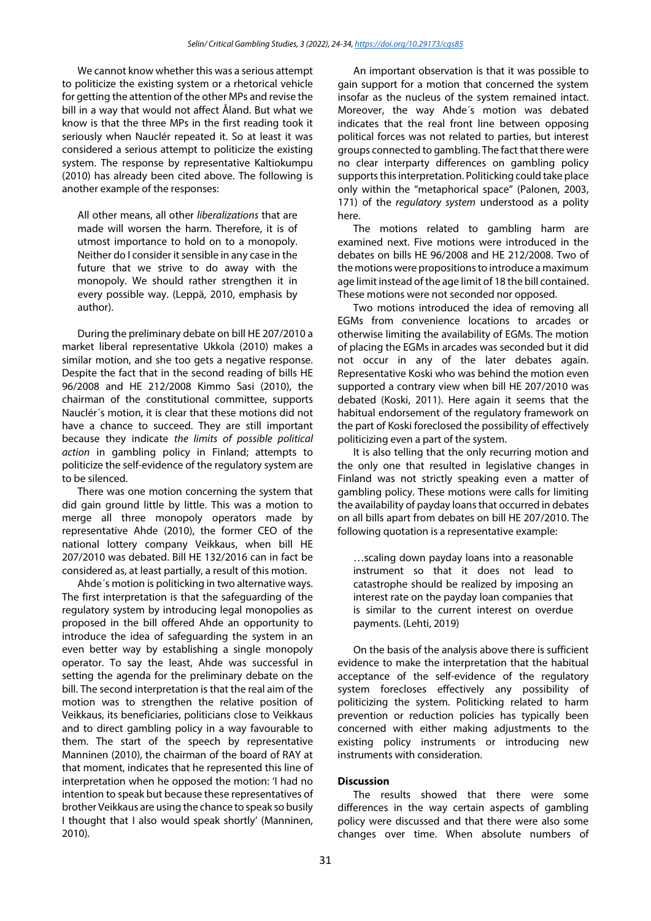We cannot know whether this was a serious attempt to politicize the existing system or a rhetorical vehicle for getting the attention of the other MPs and revise the bill in a way that would not affect Åland. But what we know is that the three MPs in the first reading took it seriously when Nauclér repeated it. So at least it was considered a serious attempt to politicize the existing system. The response by representative Kaltiokumpu (2010) has already been cited above. The following is another example of the responses:

All other means, all other *liberalizations* that are made will worsen the harm. Therefore, it is of utmost importance to hold on to a monopoly. Neither do I consider it sensible in any case in the future that we strive to do away with the monopoly. We should rather strengthen it in every possible way. (Leppä, 2010, emphasis by author).

During the preliminary debate on bill HE 207/2010 a market liberal representative Ukkola (2010) makes a similar motion, and she too gets a negative response. Despite the fact that in the second reading of bills HE 96/2008 and HE 212/2008 Kimmo Sasi (2010), the chairman of the constitutional committee, supports Nauclér´s motion, it is clear that these motions did not have a chance to succeed. They are still important because they indicate *the limits of possible political action* in gambling policy in Finland; attempts to politicize the self-evidence of the regulatory system are to be silenced.

There was one motion concerning the system that did gain ground little by little. This was a motion to merge all three monopoly operators made by representative Ahde (2010), the former CEO of the national lottery company Veikkaus, when bill HE 207/2010 was debated. Bill HE 132/2016 can in fact be considered as, at least partially, a result of this motion.

Ahde´s motion is politicking in two alternative ways. The first interpretation is that the safeguarding of the regulatory system by introducing legal monopolies as proposed in the bill offered Ahde an opportunity to introduce the idea of safeguarding the system in an even better way by establishing a single monopoly operator. To say the least, Ahde was successful in setting the agenda for the preliminary debate on the bill. The second interpretation is that the real aim of the motion was to strengthen the relative position of Veikkaus, its beneficiaries, politicians close to Veikkaus and to direct gambling policy in a way favourable to them. The start of the speech by representative Manninen (2010), the chairman of the board of RAY at that moment, indicates that he represented this line of interpretation when he opposed the motion: 'I had no intention to speak but because these representatives of brother Veikkaus are using the chance to speak so busily I thought that I also would speak shortly' (Manninen, 2010).

An important observation is that it was possible to gain support for a motion that concerned the system insofar as the nucleus of the system remained intact. Moreover, the way Ahde´s motion was debated indicates that the real front line between opposing political forces was not related to parties, but interest groups connected to gambling. The fact that there were no clear interparty differences on gambling policy supports this interpretation. Politicking could take place only within the "metaphorical space" (Palonen, 2003, 171) of the *regulatory system* understood as a polity here.

The motions related to gambling harm are examined next. Five motions were introduced in the debates on bills HE 96/2008 and HE 212/2008. Two of the motions were propositions to introduce a maximum age limit instead of the age limit of 18 the bill contained. These motions were not seconded nor opposed.

Two motions introduced the idea of removing all EGMs from convenience locations to arcades or otherwise limiting the availability of EGMs. The motion of placing the EGMs in arcades was seconded but it did not occur in any of the later debates again. Representative Koski who was behind the motion even supported a contrary view when bill HE 207/2010 was debated (Koski, 2011). Here again it seems that the habitual endorsement of the regulatory framework on the part of Koski foreclosed the possibility of effectively politicizing even a part of the system.

It is also telling that the only recurring motion and the only one that resulted in legislative changes in Finland was not strictly speaking even a matter of gambling policy. These motions were calls for limiting the availability of payday loans that occurred in debates on all bills apart from debates on bill HE 207/2010. The following quotation is a representative example:

…scaling down payday loans into a reasonable instrument so that it does not lead to catastrophe should be realized by imposing an interest rate on the payday loan companies that is similar to the current interest on overdue payments. (Lehti, 2019)

On the basis of the analysis above there is sufficient evidence to make the interpretation that the habitual acceptance of the self-evidence of the regulatory system forecloses effectively any possibility of politicizing the system. Politicking related to harm prevention or reduction policies has typically been concerned with either making adjustments to the existing policy instruments or introducing new instruments with consideration.

#### **Discussion**

The results showed that there were some differences in the way certain aspects of gambling policy were discussed and that there were also some changes over time. When absolute numbers of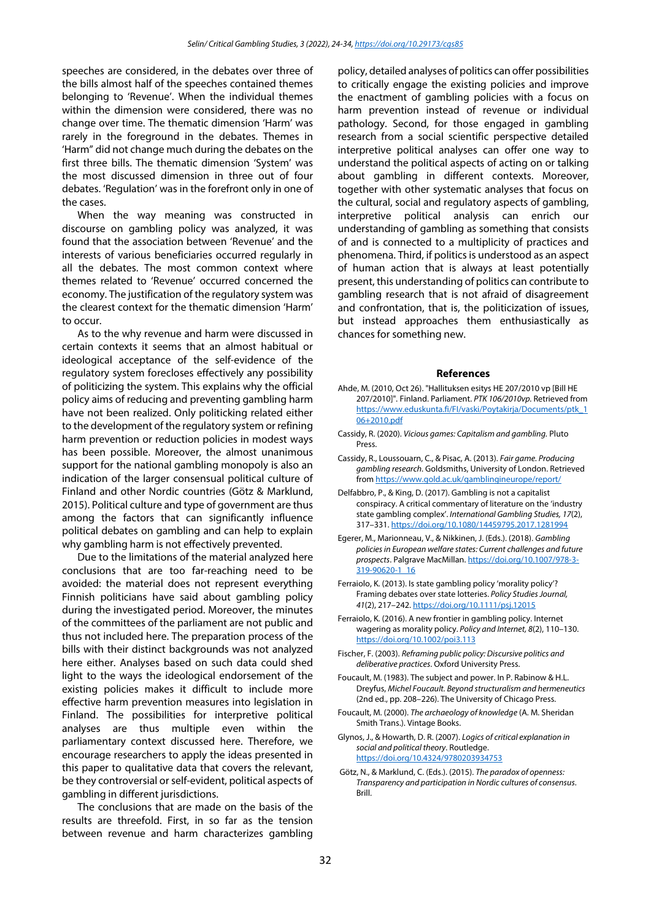speeches are considered, in the debates over three of the bills almost half of the speeches contained themes belonging to 'Revenue'. When the individual themes within the dimension were considered, there was no change over time. The thematic dimension 'Harm' was rarely in the foreground in the debates. Themes in 'Harm" did not change much during the debates on the first three bills. The thematic dimension 'System' was the most discussed dimension in three out of four debates. 'Regulation' was in the forefront only in one of the cases.

When the way meaning was constructed in discourse on gambling policy was analyzed, it was found that the association between 'Revenue' and the interests of various beneficiaries occurred regularly in all the debates. The most common context where themes related to 'Revenue' occurred concerned the economy. The justification of the regulatory system was the clearest context for the thematic dimension 'Harm' to occur.

As to the why revenue and harm were discussed in certain contexts it seems that an almost habitual or ideological acceptance of the self-evidence of the regulatory system forecloses effectively any possibility of politicizing the system. This explains why the official policy aims of reducing and preventing gambling harm have not been realized. Only politicking related either to the development of the regulatory system or refining harm prevention or reduction policies in modest ways has been possible. Moreover, the almost unanimous support for the national gambling monopoly is also an indication of the larger consensual political culture of Finland and other Nordic countries (Götz & Marklund, 2015). Political culture and type of government are thus among the factors that can significantly influence political debates on gambling and can help to explain why gambling harm is not effectively prevented.

Due to the limitations of the material analyzed here conclusions that are too far-reaching need to be avoided: the material does not represent everything Finnish politicians have said about gambling policy during the investigated period. Moreover, the minutes of the committees of the parliament are not public and thus not included here. The preparation process of the bills with their distinct backgrounds was not analyzed here either. Analyses based on such data could shed light to the ways the ideological endorsement of the existing policies makes it difficult to include more effective harm prevention measures into legislation in Finland. The possibilities for interpretive political analyses are thus multiple even within the parliamentary context discussed here. Therefore, we encourage researchers to apply the ideas presented in this paper to qualitative data that covers the relevant, be they controversial or self-evident, political aspects of gambling in different jurisdictions.

The conclusions that are made on the basis of the results are threefold. First, in so far as the tension between revenue and harm characterizes gambling policy, detailed analyses of politics can offer possibilities to critically engage the existing policies and improve the enactment of gambling policies with a focus on harm prevention instead of revenue or individual pathology. Second, for those engaged in gambling research from a social scientific perspective detailed interpretive political analyses can offer one way to understand the political aspects of acting on or talking about gambling in different contexts. Moreover, together with other systematic analyses that focus on the cultural, social and regulatory aspects of gambling, interpretive political analysis can enrich our understanding of gambling as something that consists of and is connected to a multiplicity of practices and phenomena. Third, if politics is understood as an aspect of human action that is always at least potentially present, this understanding of politics can contribute to gambling research that is not afraid of disagreement and confrontation, that is, the politicization of issues, but instead approaches them enthusiastically as chances for something new.

#### **References**

- Ahde, M. (2010, Oct 26). "Hallituksen esitys HE 207/2010 vp [Bill HE 207/2010]"*.* Finland. Parliament. *PTK 106/2010vp.* Retrieved from [https://www.eduskunta.fi/FI/vaski/Poytakirja/Documents/ptk\\_1](https://www.eduskunta.fi/FI/vaski/Poytakirja/Documents/ptk_106+2010.pdf) [06+2010.pdf](https://www.eduskunta.fi/FI/vaski/Poytakirja/Documents/ptk_106+2010.pdf)
- Cassidy, R. (2020). *Vicious games: Capitalism and gambling.* Pluto Press.
- Cassidy, R., Loussouarn, C., & Pisac, A. (2013). *Fair game. Producing gambling research*. Goldsmiths, University of London. Retrieved fro[m https://www.gold.ac.uk/gamblingineurope/report/](https://www.gold.ac.uk/gamblingineurope/report/)
- Delfabbro, P., & King, D. (2017). Gambling is not a capitalist conspiracy. A critical commentary of literature on the 'industry state gambling complex'. *International Gambling Studies, 17*(2), 317–331[. https://doi.org/10.1080/14459795.2017.1281994](https://doi.org/10.1080/14459795.2017.1281994)
- Egerer, M., Marionneau, V., & Nikkinen, J. (Eds.). (2018). *Gambling policies in European welfare states: Current challenges and future prospects*. Palgrave MacMillan. [https://doi.org/10.1007/978-3-](https://doi.org/10.1007/978-3-319-90620-1_16) [319-90620-1\\_16](https://doi.org/10.1007/978-3-319-90620-1_16)
- Ferraiolo, K. (2013). Is state gambling policy 'morality policy'? Framing debates over state lotteries. *Policy Studies Journal, 41*(2), 217–242. <https://doi.org/10.1111/psj.12015>
- Ferraiolo, K. (2016). A new frontier in gambling policy. Internet wagering as morality policy. *Policy and Internet, 8*(2), 110–130. <https://doi.org/10.1002/poi3.113>
- Fischer, F. (2003). *Reframing public policy: Discursive politics and deliberative practices*. Oxford University Press.
- Foucault, M. (1983). The subject and power. In P. Rabinow & H.L. Dreyfus, *Michel Foucault. Beyond structuralism and hermeneutics* (2nd ed., pp. 208–226). The University of Chicago Press.
- Foucault, M. (2000). *The archaeology of knowledge* (A. M. Sheridan Smith Trans.). Vintage Books.
- Glynos, J., & Howarth, D. R. (2007). *Logics of critical explanation in social and political theory*. Routledge. <https://doi.org/10.4324/9780203934753>
- Götz, N., & Marklund, C. (Eds.). (2015). *The paradox of openness: Transparency and participation in Nordic cultures of consensus*. Brill.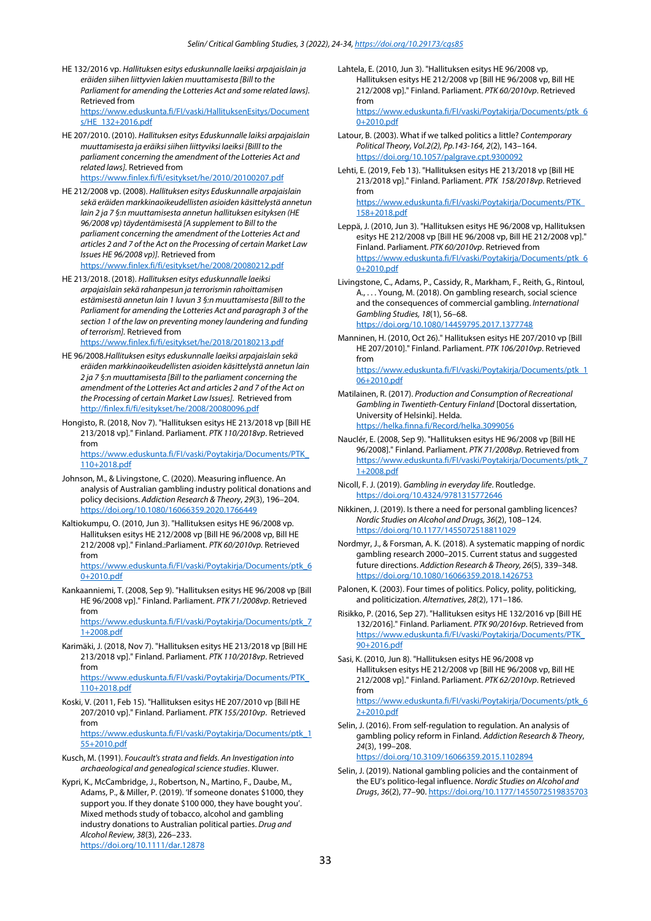- HE 132/2016 vp. *Hallituksen esitys eduskunnalle laeiksi arpajaislain ja eräiden siihen liittyvien lakien muuttamisesta [Bill to the Parliament for amending the Lotteries Act and some related laws].* Retrieved from [https://www.eduskunta.fi/FI/vaski/HallituksenEsitys/Document](https://www.eduskunta.fi/FI/vaski/HallituksenEsitys/Documents/HE_132+2016.pdf) [s/HE\\_132+2016.pdf](https://www.eduskunta.fi/FI/vaski/HallituksenEsitys/Documents/HE_132+2016.pdf)
- HE 207/2010. (2010). *Hallituksen esitys Eduskunnalle laiksi arpajaislain muuttamisesta ja eräiksi siihen liittyviksi laeiksi [Billl to the parliament concerning the amendment of the Lotteries Act and related laws].* Retrieved from <https://www.finlex.fi/fi/esitykset/he/2010/20100207.pdf>
- HE 212/2008 vp. (2008). *Hallituksen esitys Eduskunnalle arpajaislain sekä eräiden markkinaoikeudellisten asioiden käsittelystä annetun lain 2 ja 7 §:n muuttamisesta annetun hallituksen esityksen (HE 96/2008 vp) täydentämisestä [A supplement to Bill to the parliament concerning the amendment of the Lotteries Act and articles 2 and 7 of the Act on the Processing of certain Market Law Issues HE 96/2008 vp)].* Retrieved from <https://www.finlex.fi/fi/esitykset/he/2008/20080212.pdf>
- HE 213/2018. (2018). *Hallituksen esitys eduskunnalle laeiksi arpajaislain sekä rahanpesun ja terrorismin rahoittamisen estämisestä annetun lain 1 luvun 3 §:n muuttamisesta [Bill to the Parliament for amending the Lotteries Act and paragraph 3 of the section 1 of the law on preventing money laundering and funding of terrorism].* Retrieved from <https://www.finlex.fi/fi/esitykset/he/2018/20180213.pdf>
- HE 96/2008.*Hallituksen esitys eduskunnalle laeiksi arpajaislain sekä eräiden markkinaoikeudellisten asioiden käsittelystä annetun lain 2 ja 7 §:n muuttamisesta [Bill to the parliament concerning the amendment of the Lotteries Act and articles 2 and 7 of the Act on the Processing of certain Market Law Issues].* Retrieved from <http://finlex.fi/fi/esitykset/he/2008/20080096.pdf>
- Hongisto, R. (2018, Nov 7). "Hallituksen esitys HE 213/2018 vp [Bill HE 213/2018 vp]*.*" Finland. Parliament. *PTK 110/2018vp*. Retrieved from [https://www.eduskunta.fi/FI/vaski/Poytakirja/Documents/PTK\\_](https://www.eduskunta.fi/FI/vaski/Poytakirja/Documents/PTK_110+2018.pdf)

[110+2018.pdf](https://www.eduskunta.fi/FI/vaski/Poytakirja/Documents/PTK_110+2018.pdf)

- Johnson, M., & Livingstone, C. (2020). Measuring influence. An analysis of Australian gambling industry political donations and policy decisions. *Addiction Research & Theory*, *29*(3), 196–204. <https://doi.org/10.1080/16066359.2020.1766449>
- Kaltiokumpu, O. (2010, Jun 3). "Hallituksen esitys HE 96/2008 vp. Hallituksen esitys HE 212/2008 vp [Bill HE 96/2008 vp, Bill HE 212/2008 vp]." Finland.:Parliament. *PTK 60/2010vp.* Retrieved from

[https://www.eduskunta.fi/FI/vaski/Poytakirja/Documents/ptk\\_6](https://www.eduskunta.fi/FI/vaski/Poytakirja/Documents/ptk_60+2010.pdf) [0+2010.pdf](https://www.eduskunta.fi/FI/vaski/Poytakirja/Documents/ptk_60+2010.pdf)

Kankaanniemi, T. (2008, Sep 9). "Hallituksen esitys HE 96/2008 vp [Bill HE 96/2008 vp]." Finland. Parliament. *PTK 71/2008vp*. Retrieved from

[https://www.eduskunta.fi/FI/vaski/Poytakirja/Documents/ptk\\_7](https://www.eduskunta.fi/FI/vaski/Poytakirja/Documents/ptk_71+2008.pdf) [1+2008.pdf](https://www.eduskunta.fi/FI/vaski/Poytakirja/Documents/ptk_71+2008.pdf)

Karimäki, J. (2018, Nov 7). "Hallituksen esitys HE 213/2018 vp [Bill HE 213/2018 vp]." Finland. Parliament. *PTK 110/2018vp*. Retrieved from [https://www.eduskunta.fi/FI/vaski/Poytakirja/Documents/PTK\\_](https://www.eduskunta.fi/FI/vaski/Poytakirja/Documents/PTK_110+2018.pdf)

[110+2018.pdf](https://www.eduskunta.fi/FI/vaski/Poytakirja/Documents/PTK_110+2018.pdf)

Koski, V. (2011, Feb 15). "Hallituksen esitys HE 207/2010 vp [Bill HE 207/2010 vp]." Finland. Parliament. *PTK 155/2010vp*. Retrieved from [https://www.eduskunta.fi/FI/vaski/Poytakirja/Documents/ptk\\_1](https://www.eduskunta.fi/FI/vaski/Poytakirja/Documents/ptk_155+2010.pdf)

[55+2010.pdf](https://www.eduskunta.fi/FI/vaski/Poytakirja/Documents/ptk_155+2010.pdf)

- Kusch, M. (1991). *Foucault's strata and fields. An Investigation into archaeological and genealogical science studies*. Kluwer.
- Kypri, K., McCambridge, J., Robertson, N., Martino, F., Daube, M., Adams, P., & Miller, P. (2019). 'If someone donates \$1000, they support you. If they donate \$100 000, they have bought you'. Mixed methods study of tobacco, alcohol and gambling industry donations to Australian political parties. *Drug and Alcohol Review, 38*(3), 226–233. <https://doi.org/10.1111/dar.12878>

Lahtela, E. (2010, Jun 3). "Hallituksen esitys HE 96/2008 vp, Hallituksen esitys HE 212/2008 vp [Bill HE 96/2008 vp, Bill HE 212/2008 vp]." Finland. Parliament. *PTK 60/2010vp*. Retrieved from

[https://www.eduskunta.fi/FI/vaski/Poytakirja/Documents/ptk\\_6](https://www.eduskunta.fi/FI/vaski/Poytakirja/Documents/ptk_60+2010.pdf) [0+2010.pdf](https://www.eduskunta.fi/FI/vaski/Poytakirja/Documents/ptk_60+2010.pdf)

- Latour, B. (2003). What if we talked politics a little? *Contemporary Political Theory, Vol.2(2), Pp.143-164, 2*(2), 143–164. <https://doi.org/10.1057/palgrave.cpt.9300092>
- Lehti, E. (2019, Feb 13). "Hallituksen esitys HE 213/2018 vp [Bill HE 213/2018 vp]." Finland. Parliament. *PTK 158/2018vp*. Retrieved from [https://www.eduskunta.fi/FI/vaski/Poytakirja/Documents/PTK\\_](https://www.eduskunta.fi/FI/vaski/Poytakirja/Documents/PTK_158+2018.pdf)

[158+2018.pdf](https://www.eduskunta.fi/FI/vaski/Poytakirja/Documents/PTK_158+2018.pdf)

- Leppä, J. (2010, Jun 3). "Hallituksen esitys HE 96/2008 vp, Hallituksen esitys HE 212/2008 vp [Bill HE 96/2008 vp, Bill HE 212/2008 vp]." Finland. Parliament. *PTK 60/2010vp*. Retrieved from [https://www.eduskunta.fi/FI/vaski/Poytakirja/Documents/ptk\\_6](https://www.eduskunta.fi/FI/vaski/Poytakirja/Documents/ptk_60+2010.pdf) [0+2010.pdf](https://www.eduskunta.fi/FI/vaski/Poytakirja/Documents/ptk_60+2010.pdf)
- Livingstone, C., Adams, P., Cassidy, R., Markham, F., Reith, G., Rintoul, A., . . . Young, M. (2018). On gambling research, social science and the consequences of commercial gambling. *International Gambling Studies, 18*(1), 56–68. <https://doi.org/10.1080/14459795.2017.1377748>
- Manninen, H. (2010, Oct 26)." Hallituksen esitys HE 207/2010 vp [Bill HE 207/2010]." Finland. Parliament. *PTK 106/2010vp*. Retrieved from

[https://www.eduskunta.fi/FI/vaski/Poytakirja/Documents/ptk\\_1](https://www.eduskunta.fi/FI/vaski/Poytakirja/Documents/ptk_106+2010.pdf) [06+2010.pdf](https://www.eduskunta.fi/FI/vaski/Poytakirja/Documents/ptk_106+2010.pdf)

- Matilainen, R. (2017). *Production and Consumption of Recreational Gambling in Twentieth-Century Finland* [Doctoral dissertation, University of Helsinki]. Helda. <https://helka.finna.fi/Record/helka.3099056>
- Nauclér, E. (2008, Sep 9). "Hallituksen esitys HE 96/2008 vp [Bill HE 96/2008]." Finland. Parliament. *PTK 71/2008vp*. Retrieved from [https://www.eduskunta.fi/FI/vaski/Poytakirja/Documents/ptk\\_7](https://www.eduskunta.fi/FI/vaski/Poytakirja/Documents/ptk_71+2008.pdf) [1+2008.pdf](https://www.eduskunta.fi/FI/vaski/Poytakirja/Documents/ptk_71+2008.pdf)
- Nicoll, F. J. (2019). *Gambling in everyday life*. Routledge. <https://doi.org/10.4324/9781315772646>
- Nikkinen, J. (2019). Is there a need for personal gambling licences? *Nordic Studies on Alcohol and Drugs, 36*(2), 108–124. <https://doi.org/10.1177/1455072518811029>
- Nordmyr, J., & Forsman, A. K. (2018). A systematic mapping of nordic gambling research 2000–2015. Current status and suggested future directions. *Addiction Research & Theory, 26*(5), 339–348. <https://doi.org/10.1080/16066359.2018.1426753>
- Palonen, K. (2003). Four times of politics. Policy, polity, politicking, and politicization. *Alternatives, 28*(2), 171–186.
- Risikko, P. (2016, Sep 27). "Hallituksen esitys HE 132/2016 vp [Bill HE 132/2016]." Finland. Parliament. *PTK 90/2016vp*. Retrieved from [https://www.eduskunta.fi/FI/vaski/Poytakirja/Documents/PTK\\_](https://www.eduskunta.fi/FI/vaski/Poytakirja/Documents/PTK_90+2016.pdf) [90+2016.pdf](https://www.eduskunta.fi/FI/vaski/Poytakirja/Documents/PTK_90+2016.pdf)
- Sasi, K. (2010, Jun 8). "Hallituksen esitys HE 96/2008 vp Hallituksen esitys HE 212/2008 vp [Bill HE 96/2008 vp, Bill HE 212/2008 vp]." Finland. Parliament. *PTK 62/2010vp*. Retrieved from

[https://www.eduskunta.fi/FI/vaski/Poytakirja/Documents/ptk\\_6](https://www.eduskunta.fi/FI/vaski/Poytakirja/Documents/ptk_62+2010.pdf) [2+2010.pdf](https://www.eduskunta.fi/FI/vaski/Poytakirja/Documents/ptk_62+2010.pdf)

- Selin, J. (2016). From self-regulation to regulation. An analysis of gambling policy reform in Finland. *Addiction Research & Theory*, *24*(3), 199–208. <https://doi.org/10.3109/16066359.2015.1102894>
- Selin, J. (2019). National gambling policies and the containment of the EU's politico-legal influence. *Nordic Studies on Alcohol and Drugs*, *36*(2), 77–90. <https://doi.org/10.1177/1455072519835703>